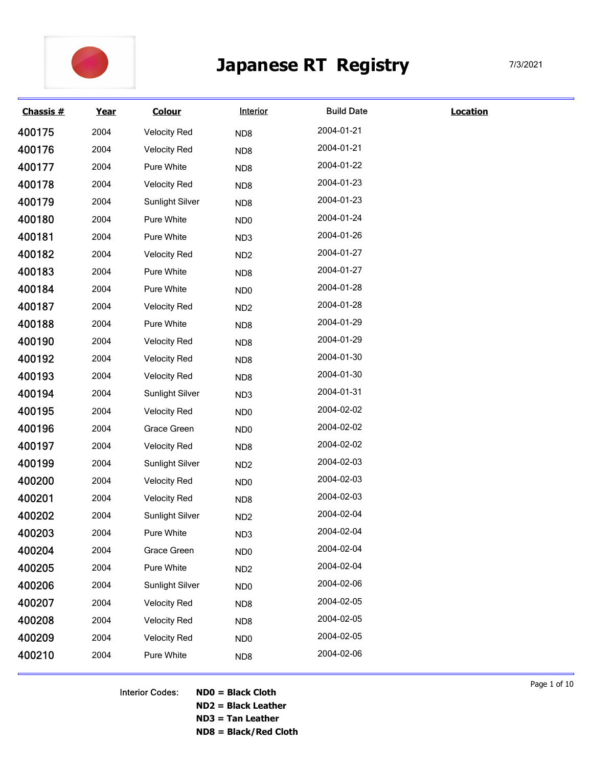

|           |      |                     |                 | <b>Japanese RT Registry</b> |                 | 7/3/2021 |
|-----------|------|---------------------|-----------------|-----------------------------|-----------------|----------|
| Chassis # | Year | <b>Colour</b>       | Interior        | <b>Build Date</b>           | <b>Location</b> |          |
| 400175    | 2004 | <b>Velocity Red</b> | ND <sub>8</sub> | 2004-01-21                  |                 |          |
| 400176    | 2004 | <b>Velocity Red</b> | ND <sub>8</sub> | 2004-01-21                  |                 |          |
| 400177    | 2004 | Pure White          | ND <sub>8</sub> | 2004-01-22                  |                 |          |
| 400178    | 2004 | <b>Velocity Red</b> | ND <sub>8</sub> | 2004-01-23                  |                 |          |
| 400179    | 2004 | Sunlight Silver     | ND <sub>8</sub> | 2004-01-23                  |                 |          |
| 400180    | 2004 | Pure White          | ND <sub>0</sub> | 2004-01-24                  |                 |          |
| 400181    | 2004 | Pure White          | ND <sub>3</sub> | 2004-01-26                  |                 |          |
| 400182    | 2004 | <b>Velocity Red</b> | ND <sub>2</sub> | 2004-01-27                  |                 |          |
| 400183    | 2004 | Pure White          | ND <sub>8</sub> | 2004-01-27                  |                 |          |
| 400184    | 2004 | Pure White          | ND <sub>0</sub> | 2004-01-28                  |                 |          |
| 400187    | 2004 | <b>Velocity Red</b> | ND <sub>2</sub> | 2004-01-28                  |                 |          |
| 400188    | 2004 | Pure White          | ND <sub>8</sub> | 2004-01-29                  |                 |          |
| 400190    | 2004 | <b>Velocity Red</b> | ND8             | 2004-01-29                  |                 |          |
| 400192    | 2004 | <b>Velocity Red</b> | ND8             | 2004-01-30                  |                 |          |
| 400193    | 2004 | <b>Velocity Red</b> | ND8             | 2004-01-30                  |                 |          |
| 400194    | 2004 | Sunlight Silver     | ND <sub>3</sub> | 2004-01-31                  |                 |          |
| 400195    | 2004 | <b>Velocity Red</b> | ND <sub>0</sub> | 2004-02-02                  |                 |          |
| 400196    | 2004 | Grace Green         | ND <sub>0</sub> | 2004-02-02                  |                 |          |
| 400197    | 2004 | <b>Velocity Red</b> | ND8             | 2004-02-02                  |                 |          |
| 400199    | 2004 | Sunlight Silver     | ND <sub>2</sub> | 2004-02-03                  |                 |          |
| 400200    | 2004 | <b>Velocity Red</b> | ND <sub>0</sub> | 2004-02-03                  |                 |          |
| 400201    | 2004 | <b>Velocity Red</b> | ND8             | 2004-02-03                  |                 |          |
| 400202    | 2004 | Sunlight Silver     | ND <sub>2</sub> | 2004-02-04                  |                 |          |
| 400203    | 2004 | Pure White          | ND <sub>3</sub> | 2004-02-04                  |                 |          |
| 400204    | 2004 | Grace Green         | ND <sub>0</sub> | 2004-02-04                  |                 |          |
| 400205    | 2004 | Pure White          | ND <sub>2</sub> | 2004-02-04                  |                 |          |
| 400206    | 2004 | Sunlight Silver     | ND <sub>0</sub> | 2004-02-06                  |                 |          |
| 400207    | 2004 | <b>Velocity Red</b> | ND8             | 2004-02-05                  |                 |          |
| 400208    | 2004 | <b>Velocity Red</b> | ND8             | 2004-02-05                  |                 |          |
| 400209    | 2004 | <b>Velocity Red</b> | ND <sub>0</sub> | 2004-02-05                  |                 |          |
|           | 2004 | Pure White          | ND8             | 2004-02-06                  |                 |          |

Interior Codes: ND0 = Black Cloth ND2 = Black Leather ND3 = Tan Leather ND8 = Black/Red Cloth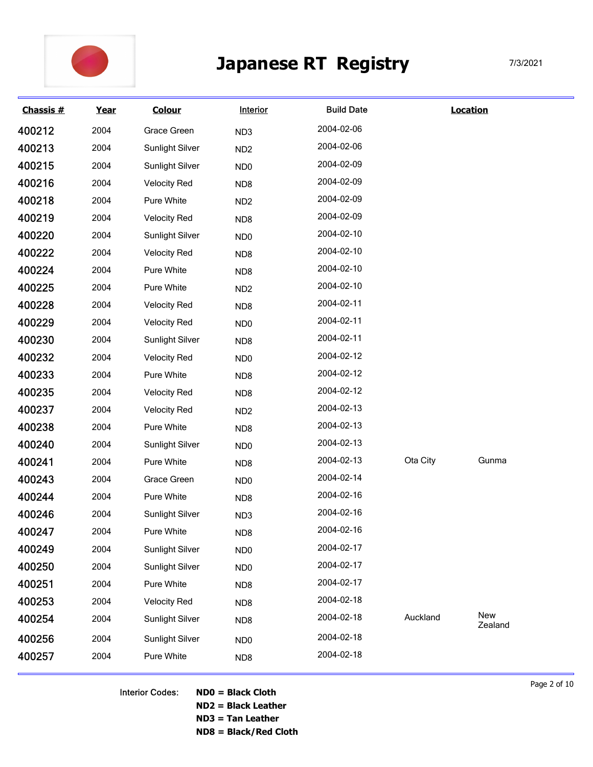

|           |      |                        |                 | <b>Japanese RT Registry</b> |          |                 | 7/3/2021 |
|-----------|------|------------------------|-----------------|-----------------------------|----------|-----------------|----------|
| Chassis # | Year | <b>Colour</b>          | Interior        | <b>Build Date</b>           |          | <b>Location</b> |          |
| 400212    | 2004 | Grace Green            | ND <sub>3</sub> | 2004-02-06                  |          |                 |          |
| 400213    | 2004 | Sunlight Silver        | ND <sub>2</sub> | 2004-02-06                  |          |                 |          |
| 400215    | 2004 | Sunlight Silver        | ND <sub>0</sub> | 2004-02-09                  |          |                 |          |
| 400216    | 2004 | <b>Velocity Red</b>    | ND <sub>8</sub> | 2004-02-09                  |          |                 |          |
| 400218    | 2004 | Pure White             | ND <sub>2</sub> | 2004-02-09                  |          |                 |          |
| 400219    | 2004 | <b>Velocity Red</b>    | ND <sub>8</sub> | 2004-02-09                  |          |                 |          |
| 400220    | 2004 | Sunlight Silver        | ND <sub>0</sub> | 2004-02-10                  |          |                 |          |
| 400222    | 2004 | <b>Velocity Red</b>    | ND <sub>8</sub> | 2004-02-10                  |          |                 |          |
| 400224    | 2004 | Pure White             | ND <sub>8</sub> | 2004-02-10                  |          |                 |          |
| 400225    | 2004 | Pure White             | ND <sub>2</sub> | 2004-02-10                  |          |                 |          |
| 400228    | 2004 | <b>Velocity Red</b>    | ND8             | 2004-02-11                  |          |                 |          |
| 400229    | 2004 | <b>Velocity Red</b>    | ND <sub>0</sub> | 2004-02-11                  |          |                 |          |
| 400230    | 2004 | <b>Sunlight Silver</b> | ND8             | 2004-02-11                  |          |                 |          |
| 400232    | 2004 | <b>Velocity Red</b>    | ND <sub>0</sub> | 2004-02-12                  |          |                 |          |
| 400233    | 2004 | Pure White             | ND8             | 2004-02-12                  |          |                 |          |
| 400235    | 2004 | <b>Velocity Red</b>    | ND8             | 2004-02-12                  |          |                 |          |
| 400237    | 2004 | <b>Velocity Red</b>    | ND <sub>2</sub> | 2004-02-13                  |          |                 |          |
| 400238    | 2004 | Pure White             | ND8             | 2004-02-13                  |          |                 |          |
| 400240    | 2004 | <b>Sunlight Silver</b> | ND <sub>0</sub> | 2004-02-13                  |          |                 |          |
| 400241    | 2004 | Pure White             | ND8             | 2004-02-13                  | Ota City | Gunma           |          |
| 400243    | 2004 | Grace Green            | ND <sub>0</sub> | 2004-02-14                  |          |                 |          |
| 400244    | 2004 | Pure White             | ND <sub>8</sub> | 2004-02-16                  |          |                 |          |
| 400246    | 2004 | <b>Sunlight Silver</b> | ND3             | 2004-02-16                  |          |                 |          |
| 400247    | 2004 | Pure White             | ND8             | 2004-02-16                  |          |                 |          |
| 400249    | 2004 | <b>Sunlight Silver</b> | ND <sub>0</sub> | 2004-02-17                  |          |                 |          |
| 400250    | 2004 | <b>Sunlight Silver</b> | ND <sub>0</sub> | 2004-02-17                  |          |                 |          |
| 400251    | 2004 | Pure White             | ND8             | 2004-02-17                  |          |                 |          |
| 400253    | 2004 | <b>Velocity Red</b>    | ND8             | 2004-02-18                  |          |                 |          |
| 400254    | 2004 | <b>Sunlight Silver</b> | ND <sub>8</sub> | 2004-02-18                  | Auckland | New             |          |
|           | 2004 | <b>Sunlight Silver</b> | ND <sub>0</sub> | 2004-02-18                  |          | Zealand         |          |
| 400256    |      |                        |                 |                             |          |                 |          |

Interior Codes: ND0 = Black Cloth ND2 = Black Leather ND3 = Tan Leather

ND8 = Black/Red Cloth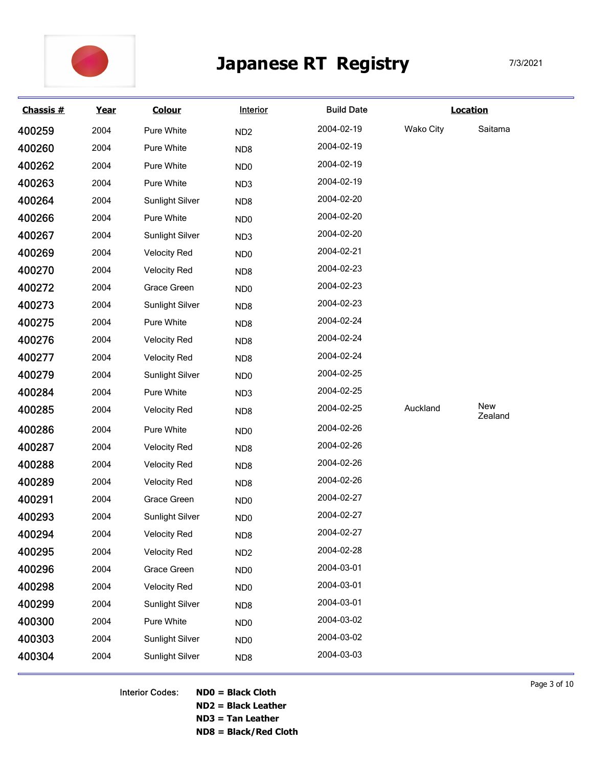

|           |             |                     |                        | <b>Japanese RT Registry</b> |           | 7/3/2021        |
|-----------|-------------|---------------------|------------------------|-----------------------------|-----------|-----------------|
| Chassis # | <u>Year</u> | <b>Colour</b>       | <b>Interior</b>        | <b>Build Date</b>           |           | <b>Location</b> |
| 400259    | 2004        | Pure White          | ND <sub>2</sub>        | 2004-02-19                  | Wako City | Saitama         |
| 400260    | 2004        | Pure White          | ND8                    | 2004-02-19                  |           |                 |
| 400262    | 2004        | Pure White          | ND <sub>0</sub>        | 2004-02-19                  |           |                 |
| 400263    | 2004        | Pure White          | ND <sub>3</sub>        | 2004-02-19                  |           |                 |
| 400264    | 2004        | Sunlight Silver     | ND8                    | 2004-02-20                  |           |                 |
| 400266    | 2004        | Pure White          | ND <sub>0</sub>        | 2004-02-20                  |           |                 |
| 400267    | 2004        | Sunlight Silver     | ND3                    | 2004-02-20                  |           |                 |
| 400269    | 2004        | <b>Velocity Red</b> | ND <sub>0</sub>        | 2004-02-21                  |           |                 |
| 400270    | 2004        | <b>Velocity Red</b> | ND8                    | 2004-02-23                  |           |                 |
| 400272    | 2004        | Grace Green         | ND <sub>0</sub>        | 2004-02-23                  |           |                 |
| 400273    | 2004        | Sunlight Silver     | ND8                    | 2004-02-23                  |           |                 |
| 400275    | 2004        | Pure White          | ND8                    | 2004-02-24                  |           |                 |
| 400276    | 2004        | <b>Velocity Red</b> | ND8                    | 2004-02-24                  |           |                 |
| 400277    | 2004        | <b>Velocity Red</b> | ND8                    | 2004-02-24                  |           |                 |
| 400279    | 2004        | Sunlight Silver     | ND <sub>0</sub>        | 2004-02-25                  |           |                 |
| 400284    | 2004        | Pure White          | ND <sub>3</sub>        | 2004-02-25                  |           |                 |
| 400285    | 2004        | <b>Velocity Red</b> | ND8                    | 2004-02-25                  | Auckland  | New             |
| 400286    | 2004        | Pure White          | ND <sub>0</sub>        | 2004-02-26                  |           | Zealand         |
| 400287    | 2004        | <b>Velocity Red</b> | ND <sub>8</sub>        | 2004-02-26                  |           |                 |
| 400288    | 2004        | <b>Velocity Red</b> | ND8                    | 2004-02-26                  |           |                 |
| 400289    | 2004        | <b>Velocity Red</b> | ND8                    | 2004-02-26                  |           |                 |
| 400291    | 2004        | Grace Green         | ND <sub>0</sub>        | 2004-02-27                  |           |                 |
| 400293    | 2004        | Sunlight Silver     | ND <sub>0</sub>        | 2004-02-27                  |           |                 |
| 400294    | 2004        | <b>Velocity Red</b> | ND8                    | 2004-02-27                  |           |                 |
| 400295    | 2004        | <b>Velocity Red</b> | ND <sub>2</sub>        | 2004-02-28                  |           |                 |
| 400296    | 2004        | Grace Green         | ND <sub>0</sub>        | 2004-03-01                  |           |                 |
| 400298    | 2004        | <b>Velocity Red</b> | ND <sub>0</sub>        | 2004-03-01                  |           |                 |
| 400299    | 2004        | Sunlight Silver     | ND8                    | 2004-03-01                  |           |                 |
| 400300    | 2004        | Pure White          | ND <sub>0</sub>        | 2004-03-02                  |           |                 |
| 400303    | 2004        | Sunlight Silver     |                        | 2004-03-02                  |           |                 |
|           | 2004        |                     | ND <sub>0</sub><br>ND8 | 2004-03-03                  |           |                 |
| 400304    |             | Sunlight Silver     |                        |                             |           |                 |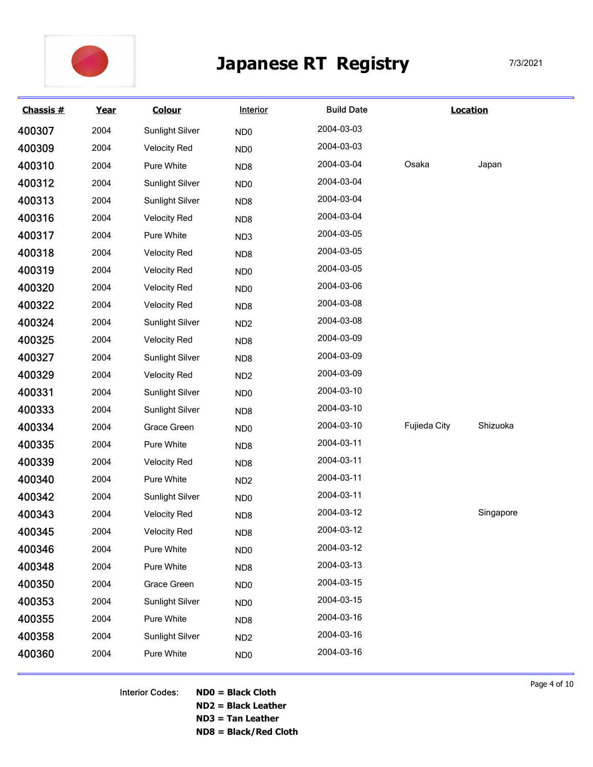

|                  |      |                     | <b>Japanese RT</b> | <b>Registry</b>   |              | 7/3/2021        |  |
|------------------|------|---------------------|--------------------|-------------------|--------------|-----------------|--|
| <b>Chassis #</b> | Year | <b>Colour</b>       | Interior           | <b>Build Date</b> |              | <b>Location</b> |  |
| 400307           | 2004 | Sunlight Silver     | ND <sub>0</sub>    | 2004-03-03        |              |                 |  |
| 400309           | 2004 | <b>Velocity Red</b> | ND <sub>0</sub>    | 2004-03-03        |              |                 |  |
| 400310           | 2004 | Pure White          | ND <sub>8</sub>    | 2004-03-04        | Osaka        | Japan           |  |
| 400312           | 2004 | Sunlight Silver     | ND <sub>0</sub>    | 2004-03-04        |              |                 |  |
| 400313           | 2004 | Sunlight Silver     | ND <sub>8</sub>    | 2004-03-04        |              |                 |  |
| 400316           | 2004 | <b>Velocity Red</b> | ND <sub>8</sub>    | 2004-03-04        |              |                 |  |
| 400317           | 2004 | Pure White          | ND <sub>3</sub>    | 2004-03-05        |              |                 |  |
| 400318           | 2004 | <b>Velocity Red</b> | ND <sub>8</sub>    | 2004-03-05        |              |                 |  |
| 400319           | 2004 | <b>Velocity Red</b> | ND <sub>0</sub>    | 2004-03-05        |              |                 |  |
| 400320           | 2004 | <b>Velocity Red</b> | ND <sub>0</sub>    | 2004-03-06        |              |                 |  |
| 400322           | 2004 | <b>Velocity Red</b> | ND8                | 2004-03-08        |              |                 |  |
| 400324           | 2004 | Sunlight Silver     | ND <sub>2</sub>    | 2004-03-08        |              |                 |  |
| 400325           | 2004 | <b>Velocity Red</b> | ND8                | 2004-03-09        |              |                 |  |
| 400327           | 2004 | Sunlight Silver     | ND8                | 2004-03-09        |              |                 |  |
| 400329           | 2004 | <b>Velocity Red</b> | ND <sub>2</sub>    | 2004-03-09        |              |                 |  |
| 400331           | 2004 | Sunlight Silver     | ND <sub>0</sub>    | 2004-03-10        |              |                 |  |
| 400333           | 2004 | Sunlight Silver     | ND8                | 2004-03-10        |              |                 |  |
| 400334           | 2004 | Grace Green         | ND <sub>0</sub>    | 2004-03-10        | Fujieda City | Shizuoka        |  |
| 400335           | 2004 | Pure White          | ND8                | 2004-03-11        |              |                 |  |
| 400339           | 2004 | <b>Velocity Red</b> | ND8                | 2004-03-11        |              |                 |  |
| 400340           | 2004 | Pure White          | ND <sub>2</sub>    | 2004-03-11        |              |                 |  |
| 400342           | 2004 | Sunlight Silver     | ND <sub>0</sub>    | 2004-03-11        |              |                 |  |
| 400343           | 2004 | <b>Velocity Red</b> | ND8                | 2004-03-12        |              | Singapore       |  |
| 400345           | 2004 | <b>Velocity Red</b> | ND8                | 2004-03-12        |              |                 |  |
| 400346           | 2004 | Pure White          | ND <sub>0</sub>    | 2004-03-12        |              |                 |  |
| 400348           | 2004 | Pure White          | ND8                | 2004-03-13        |              |                 |  |
| 400350           | 2004 | Grace Green         | ND <sub>0</sub>    | 2004-03-15        |              |                 |  |
| 400353           | 2004 | Sunlight Silver     | ND <sub>0</sub>    | 2004-03-15        |              |                 |  |
| 400355           | 2004 | Pure White          | ND <sub>8</sub>    | 2004-03-16        |              |                 |  |
| 400358           | 2004 | Sunlight Silver     | ND <sub>2</sub>    | 2004-03-16        |              |                 |  |
|                  | 2004 | Pure White          | ND <sub>0</sub>    | 2004-03-16        |              |                 |  |

Interior Codes: ND0 = Black Cloth ND2 = Black Leather ND3 = Tan Leather ND8 = Black/Red Cloth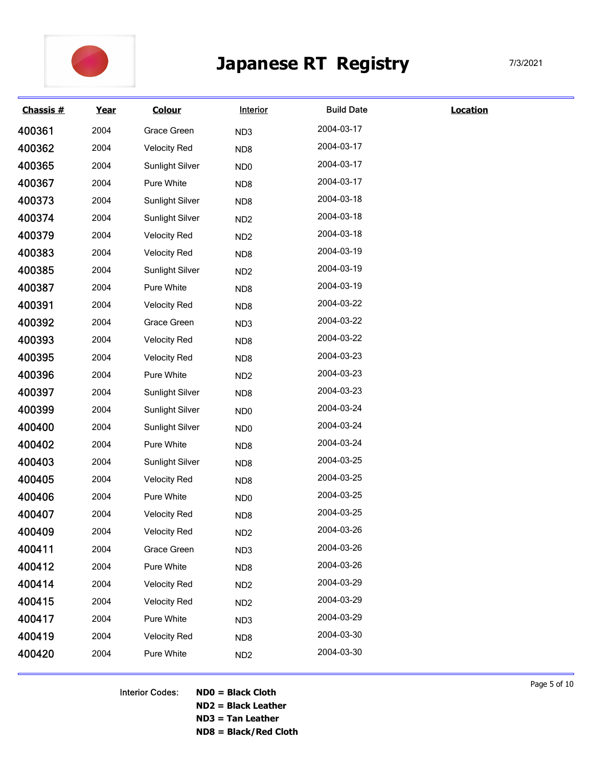

|           |      |                     |                 | <b>Japanese RT Registry</b> |                 | 7/3/2021 |
|-----------|------|---------------------|-----------------|-----------------------------|-----------------|----------|
| Chassis # | Year | <b>Colour</b>       | Interior        | <b>Build Date</b>           | <b>Location</b> |          |
| 400361    | 2004 | Grace Green         | ND <sub>3</sub> | 2004-03-17                  |                 |          |
| 400362    | 2004 | <b>Velocity Red</b> | ND <sub>8</sub> | 2004-03-17                  |                 |          |
| 400365    | 2004 | Sunlight Silver     | ND <sub>0</sub> | 2004-03-17                  |                 |          |
| 400367    | 2004 | Pure White          | ND <sub>8</sub> | 2004-03-17                  |                 |          |
| 400373    | 2004 | Sunlight Silver     | ND <sub>8</sub> | 2004-03-18                  |                 |          |
| 400374    | 2004 | Sunlight Silver     | ND <sub>2</sub> | 2004-03-18                  |                 |          |
| 400379    | 2004 | <b>Velocity Red</b> | ND <sub>2</sub> | 2004-03-18                  |                 |          |
| 400383    | 2004 | <b>Velocity Red</b> | ND <sub>8</sub> | 2004-03-19                  |                 |          |
| 400385    | 2004 | Sunlight Silver     | ND <sub>2</sub> | 2004-03-19                  |                 |          |
| 400387    | 2004 | Pure White          | ND <sub>8</sub> | 2004-03-19                  |                 |          |
| 400391    | 2004 | <b>Velocity Red</b> | ND8             | 2004-03-22                  |                 |          |
| 400392    | 2004 | Grace Green         | ND <sub>3</sub> | 2004-03-22                  |                 |          |
| 400393    | 2004 | <b>Velocity Red</b> | ND8             | 2004-03-22                  |                 |          |
| 400395    | 2004 | <b>Velocity Red</b> | ND8             | 2004-03-23                  |                 |          |
| 400396    | 2004 | Pure White          | ND <sub>2</sub> | 2004-03-23                  |                 |          |
| 400397    | 2004 | Sunlight Silver     | ND8             | 2004-03-23                  |                 |          |
| 400399    | 2004 | Sunlight Silver     | ND <sub>0</sub> | 2004-03-24                  |                 |          |
| 400400    | 2004 | Sunlight Silver     | ND <sub>0</sub> | 2004-03-24                  |                 |          |
| 400402    | 2004 | Pure White          | ND <sub>8</sub> | 2004-03-24                  |                 |          |
| 400403    | 2004 | Sunlight Silver     | ND8             | 2004-03-25                  |                 |          |
| 400405    | 2004 | <b>Velocity Red</b> | ND8             | 2004-03-25                  |                 |          |
| 400406    | 2004 | Pure White          | ND <sub>0</sub> | 2004-03-25                  |                 |          |
| 400407    | 2004 | <b>Velocity Red</b> | ND <sub>8</sub> | 2004-03-25                  |                 |          |
| 400409    | 2004 | <b>Velocity Red</b> | ND <sub>2</sub> | 2004-03-26                  |                 |          |
| 400411    | 2004 | Grace Green         | ND <sub>3</sub> | 2004-03-26                  |                 |          |
| 400412    | 2004 | Pure White          | ND8             | 2004-03-26                  |                 |          |
| 400414    | 2004 | <b>Velocity Red</b> | ND <sub>2</sub> | 2004-03-29                  |                 |          |
| 400415    | 2004 | <b>Velocity Red</b> | ND <sub>2</sub> | 2004-03-29                  |                 |          |
| 400417    | 2004 | Pure White          | ND <sub>3</sub> | 2004-03-29                  |                 |          |
| 400419    | 2004 | <b>Velocity Red</b> | ND8             | 2004-03-30                  |                 |          |
|           | 2004 | Pure White          | ND <sub>2</sub> | 2004-03-30                  |                 |          |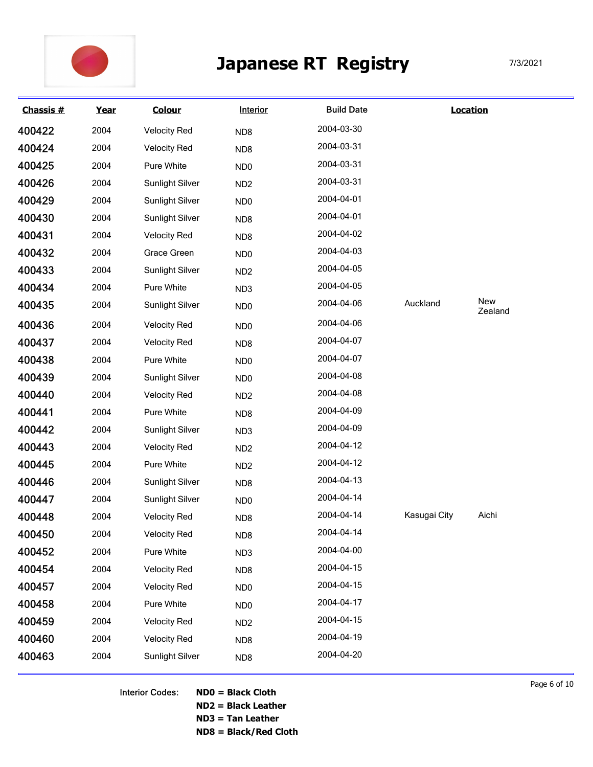

|                  |      |                     | <b>Japanese RT</b> | <b>Registry</b>   |              |                 | 7/3/2021 |
|------------------|------|---------------------|--------------------|-------------------|--------------|-----------------|----------|
| <b>Chassis #</b> | Year | <b>Colour</b>       | <b>Interior</b>    | <b>Build Date</b> |              | <b>Location</b> |          |
| 400422           | 2004 | <b>Velocity Red</b> | ND <sub>8</sub>    | 2004-03-30        |              |                 |          |
| 400424           | 2004 | <b>Velocity Red</b> | ND <sub>8</sub>    | 2004-03-31        |              |                 |          |
| 400425           | 2004 | Pure White          | ND <sub>0</sub>    | 2004-03-31        |              |                 |          |
| 400426           | 2004 | Sunlight Silver     | ND <sub>2</sub>    | 2004-03-31        |              |                 |          |
| 400429           | 2004 | Sunlight Silver     | ND <sub>0</sub>    | 2004-04-01        |              |                 |          |
| 400430           | 2004 | Sunlight Silver     | ND <sub>8</sub>    | 2004-04-01        |              |                 |          |
| 400431           | 2004 | <b>Velocity Red</b> | ND <sub>8</sub>    | 2004-04-02        |              |                 |          |
| 400432           | 2004 | Grace Green         | ND <sub>0</sub>    | 2004-04-03        |              |                 |          |
| 400433           | 2004 | Sunlight Silver     | ND <sub>2</sub>    | 2004-04-05        |              |                 |          |
| 400434           | 2004 | Pure White          | ND <sub>3</sub>    | 2004-04-05        |              |                 |          |
| 400435           | 2004 | Sunlight Silver     | ND <sub>0</sub>    | 2004-04-06        | Auckland     | New<br>Zealand  |          |
| 400436           | 2004 | <b>Velocity Red</b> | ND <sub>0</sub>    | 2004-04-06        |              |                 |          |
| 400437           | 2004 | <b>Velocity Red</b> | ND8                | 2004-04-07        |              |                 |          |
| 400438           | 2004 | Pure White          | ND0                | 2004-04-07        |              |                 |          |
| 400439           | 2004 | Sunlight Silver     | ND0                | 2004-04-08        |              |                 |          |
| 400440           | 2004 | <b>Velocity Red</b> | ND <sub>2</sub>    | 2004-04-08        |              |                 |          |
| 400441           | 2004 | Pure White          | ND8                | 2004-04-09        |              |                 |          |
| 400442           | 2004 | Sunlight Silver     | ND3                | 2004-04-09        |              |                 |          |
| 400443           | 2004 | <b>Velocity Red</b> | ND <sub>2</sub>    | 2004-04-12        |              |                 |          |
| 400445           | 2004 | Pure White          | ND <sub>2</sub>    | 2004-04-12        |              |                 |          |
| 400446           | 2004 | Sunlight Silver     | ND8                | 2004-04-13        |              |                 |          |
| 400447           | 2004 | Sunlight Silver     | ND0                | 2004-04-14        |              |                 |          |
| 400448           | 2004 | <b>Velocity Red</b> | ND8                | 2004-04-14        | Kasugai City | Aichi           |          |
| 400450           | 2004 | <b>Velocity Red</b> | ND8                | 2004-04-14        |              |                 |          |
| 400452           | 2004 | Pure White          | ND <sub>3</sub>    | 2004-04-00        |              |                 |          |
| 400454           | 2004 | <b>Velocity Red</b> | ND8                | 2004-04-15        |              |                 |          |
| 400457           | 2004 | <b>Velocity Red</b> | ND0                | 2004-04-15        |              |                 |          |
| 400458           | 2004 | Pure White          | ND0                | 2004-04-17        |              |                 |          |
| 400459           | 2004 | <b>Velocity Red</b> | ND <sub>2</sub>    | 2004-04-15        |              |                 |          |
| 400460           | 2004 | <b>Velocity Red</b> | ND8                | 2004-04-19        |              |                 |          |
|                  | 2004 | Sunlight Silver     | ND8                | 2004-04-20        |              |                 |          |

ND2 = Black Leather ND3 = Tan Leather

ND8 = Black/Red Cloth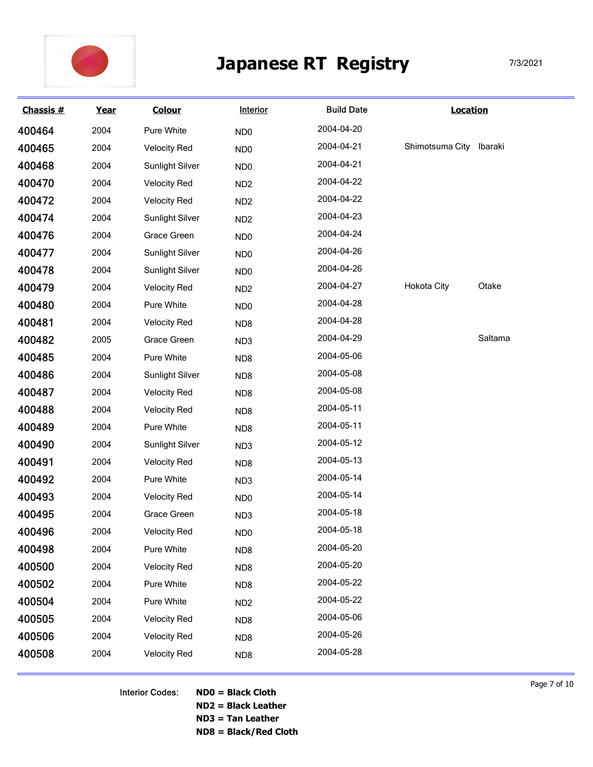

|                  |      |                        |                 | <b>Japanese RT Registry</b> |                         | 7/3/2021 |
|------------------|------|------------------------|-----------------|-----------------------------|-------------------------|----------|
| <b>Chassis #</b> | Year | <b>Colour</b>          | Interior        | <b>Build Date</b>           | <b>Location</b>         |          |
| 400464           | 2004 | Pure White             | ND <sub>0</sub> | 2004-04-20                  |                         |          |
| 400465           | 2004 | <b>Velocity Red</b>    | ND <sub>0</sub> | 2004-04-21                  | Shimotsuma City Ibaraki |          |
| 400468           | 2004 | Sunlight Silver        | ND <sub>0</sub> | 2004-04-21                  |                         |          |
| 400470           | 2004 | <b>Velocity Red</b>    | ND <sub>2</sub> | 2004-04-22                  |                         |          |
| 400472           | 2004 | <b>Velocity Red</b>    | ND <sub>2</sub> | 2004-04-22                  |                         |          |
| 400474           | 2004 | Sunlight Silver        | ND <sub>2</sub> | 2004-04-23                  |                         |          |
| 400476           | 2004 | Grace Green            | ND <sub>0</sub> | 2004-04-24                  |                         |          |
| 400477           | 2004 | Sunlight Silver        | ND <sub>0</sub> | 2004-04-26                  |                         |          |
| 400478           | 2004 | Sunlight Silver        | ND <sub>0</sub> | 2004-04-26                  |                         |          |
| 400479           | 2004 | <b>Velocity Red</b>    | ND <sub>2</sub> | 2004-04-27                  | <b>Hokota City</b>      | Otake    |
| 400480           | 2004 | Pure White             | ND <sub>0</sub> | 2004-04-28                  |                         |          |
| 400481           | 2004 | <b>Velocity Red</b>    | ND8             | 2004-04-28                  |                         |          |
| 400482           | 2005 | Grace Green            | ND3             | 2004-04-29                  |                         | Saltama  |
| 400485           | 2004 | Pure White             | ND8             | 2004-05-06                  |                         |          |
| 400486           | 2004 | <b>Sunlight Silver</b> | ND8             | 2004-05-08                  |                         |          |
| 400487           | 2004 | <b>Velocity Red</b>    | ND8             | 2004-05-08                  |                         |          |
| 400488           | 2004 | <b>Velocity Red</b>    | ND8             | 2004-05-11                  |                         |          |
| 400489           | 2004 | Pure White             | ND8             | 2004-05-11                  |                         |          |
| 400490           | 2004 | <b>Sunlight Silver</b> | ND3             | 2004-05-12                  |                         |          |
| 400491           | 2004 | <b>Velocity Red</b>    | ND8             | 2004-05-13                  |                         |          |
| 400492           | 2004 | Pure White             | ND3             | 2004-05-14                  |                         |          |
| 400493           | 2004 | <b>Velocity Red</b>    | ND <sub>0</sub> | 2004-05-14                  |                         |          |
| 400495           | 2004 | Grace Green            | ND3             | 2004-05-18                  |                         |          |
| 400496           | 2004 | <b>Velocity Red</b>    | ND <sub>0</sub> | 2004-05-18                  |                         |          |
| 400498           | 2004 | Pure White             | ND8             | 2004-05-20                  |                         |          |
| 400500           | 2004 | <b>Velocity Red</b>    | ND8             | 2004-05-20                  |                         |          |
| 400502           | 2004 | Pure White             | ND8             | 2004-05-22                  |                         |          |
| 400504           | 2004 | Pure White             | ND <sub>2</sub> | 2004-05-22                  |                         |          |
| 400505           | 2004 | <b>Velocity Red</b>    | ND8             | 2004-05-06                  |                         |          |
| 400506           | 2004 | <b>Velocity Red</b>    | ND8             | 2004-05-26                  |                         |          |
|                  | 2004 | <b>Velocity Red</b>    | ND8             | 2004-05-28                  |                         |          |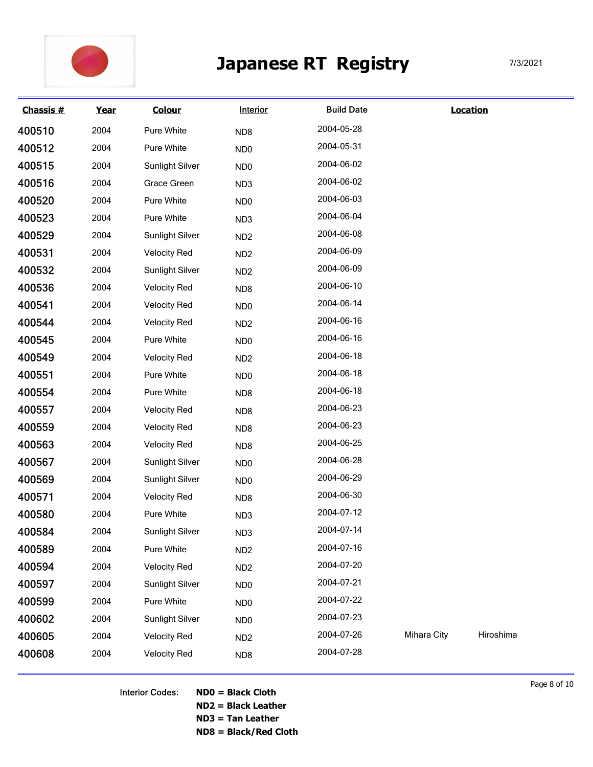

|                  |      |                        |                 | <b>Japanese RT Registry</b> |             |                 | 7/3/2021 |
|------------------|------|------------------------|-----------------|-----------------------------|-------------|-----------------|----------|
| <b>Chassis #</b> | Year | <b>Colour</b>          | Interior        | <b>Build Date</b>           |             | <b>Location</b> |          |
| 400510           | 2004 | Pure White             | ND <sub>8</sub> | 2004-05-28                  |             |                 |          |
| 400512           | 2004 | Pure White             | ND <sub>0</sub> | 2004-05-31                  |             |                 |          |
| 400515           | 2004 | Sunlight Silver        | ND <sub>0</sub> | 2004-06-02                  |             |                 |          |
| 400516           | 2004 | Grace Green            | ND <sub>3</sub> | 2004-06-02                  |             |                 |          |
| 400520           | 2004 | Pure White             | ND <sub>0</sub> | 2004-06-03                  |             |                 |          |
| 400523           | 2004 | Pure White             | ND <sub>3</sub> | 2004-06-04                  |             |                 |          |
| 400529           | 2004 | Sunlight Silver        | ND <sub>2</sub> | 2004-06-08                  |             |                 |          |
| 400531           | 2004 | <b>Velocity Red</b>    | ND <sub>2</sub> | 2004-06-09                  |             |                 |          |
| 400532           | 2004 | Sunlight Silver        | ND <sub>2</sub> | 2004-06-09                  |             |                 |          |
| 400536           | 2004 | <b>Velocity Red</b>    | ND <sub>8</sub> | 2004-06-10                  |             |                 |          |
| 400541           | 2004 | <b>Velocity Red</b>    | ND <sub>0</sub> | 2004-06-14                  |             |                 |          |
| 400544           | 2004 | <b>Velocity Red</b>    | ND <sub>2</sub> | 2004-06-16                  |             |                 |          |
| 400545           | 2004 | Pure White             | ND <sub>0</sub> | 2004-06-16                  |             |                 |          |
| 400549           | 2004 | <b>Velocity Red</b>    | ND <sub>2</sub> | 2004-06-18                  |             |                 |          |
| 400551           | 2004 | Pure White             | ND <sub>0</sub> | 2004-06-18                  |             |                 |          |
| 400554           | 2004 | Pure White             | ND8             | 2004-06-18                  |             |                 |          |
| 400557           | 2004 | <b>Velocity Red</b>    | ND8             | 2004-06-23                  |             |                 |          |
| 400559           | 2004 | <b>Velocity Red</b>    | ND8             | 2004-06-23                  |             |                 |          |
| 400563           | 2004 | <b>Velocity Red</b>    | ND8             | 2004-06-25                  |             |                 |          |
| 400567           | 2004 | <b>Sunlight Silver</b> | ND <sub>0</sub> | 2004-06-28                  |             |                 |          |
| 400569           | 2004 | <b>Sunlight Silver</b> | ND <sub>0</sub> | 2004-06-29                  |             |                 |          |
| 400571           | 2004 | <b>Velocity Red</b>    | ND8             | 2004-06-30                  |             |                 |          |
| 400580           | 2004 | Pure White             | ND3             | 2004-07-12                  |             |                 |          |
| 400584           | 2004 | <b>Sunlight Silver</b> | ND <sub>3</sub> | 2004-07-14                  |             |                 |          |
| 400589           | 2004 | Pure White             | ND <sub>2</sub> | 2004-07-16                  |             |                 |          |
| 400594           | 2004 | <b>Velocity Red</b>    | ND <sub>2</sub> | 2004-07-20                  |             |                 |          |
| 400597           | 2004 | <b>Sunlight Silver</b> | ND <sub>0</sub> | 2004-07-21                  |             |                 |          |
| 400599           | 2004 | Pure White             |                 | 2004-07-22                  |             |                 |          |
| 400602           | 2004 | <b>Sunlight Silver</b> | ND <sub>0</sub> | 2004-07-23                  |             |                 |          |
| 400605           | 2004 |                        | ND <sub>0</sub> | 2004-07-26                  | Mihara City | Hiroshima       |          |
|                  |      | <b>Velocity Red</b>    | ND <sub>2</sub> | 2004-07-28                  |             |                 |          |

Interior Codes: ND0 = Black Cloth ND2 = Black Leather ND3 = Tan Leather ND8 = Black/Red Cloth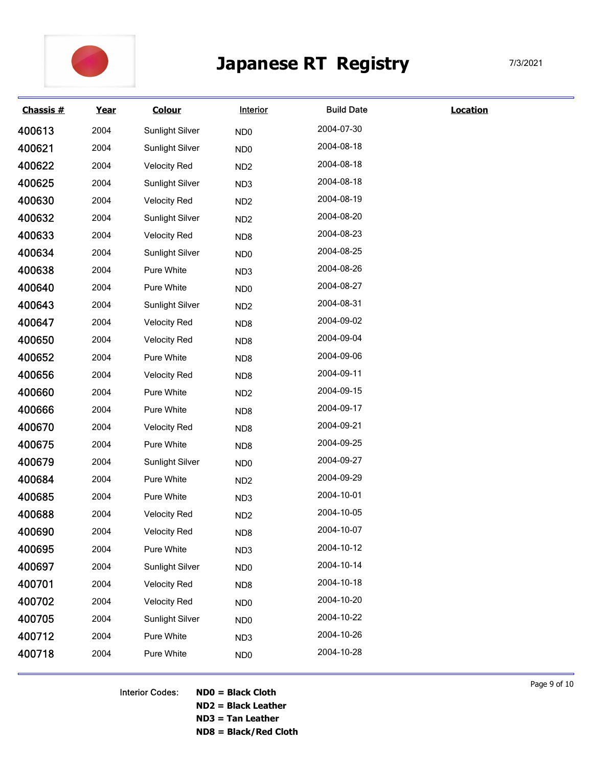

|           |      |                     |                 | <b>Japanese RT Registry</b> |                 | 7/3/2021 |
|-----------|------|---------------------|-----------------|-----------------------------|-----------------|----------|
| Chassis # | Year | <b>Colour</b>       | Interior        | <b>Build Date</b>           | <b>Location</b> |          |
| 400613    | 2004 | Sunlight Silver     | ND <sub>0</sub> | 2004-07-30                  |                 |          |
| 400621    | 2004 | Sunlight Silver     | ND <sub>0</sub> | 2004-08-18                  |                 |          |
| 400622    | 2004 | <b>Velocity Red</b> | ND <sub>2</sub> | 2004-08-18                  |                 |          |
| 400625    | 2004 | Sunlight Silver     | ND <sub>3</sub> | 2004-08-18                  |                 |          |
| 400630    | 2004 | <b>Velocity Red</b> | ND <sub>2</sub> | 2004-08-19                  |                 |          |
| 400632    | 2004 | Sunlight Silver     | ND <sub>2</sub> | 2004-08-20                  |                 |          |
| 400633    | 2004 | <b>Velocity Red</b> | ND <sub>8</sub> | 2004-08-23                  |                 |          |
| 400634    | 2004 | Sunlight Silver     | ND <sub>0</sub> | 2004-08-25                  |                 |          |
| 400638    | 2004 | Pure White          | ND <sub>3</sub> | 2004-08-26                  |                 |          |
| 400640    | 2004 | Pure White          | ND <sub>0</sub> | 2004-08-27                  |                 |          |
| 400643    | 2004 | Sunlight Silver     | ND <sub>2</sub> | 2004-08-31                  |                 |          |
| 400647    | 2004 | <b>Velocity Red</b> | ND8             | 2004-09-02                  |                 |          |
| 400650    | 2004 | <b>Velocity Red</b> | ND8             | 2004-09-04                  |                 |          |
| 400652    | 2004 | Pure White          | ND8             | 2004-09-06                  |                 |          |
| 400656    | 2004 | <b>Velocity Red</b> | ND <sub>8</sub> | 2004-09-11                  |                 |          |
| 400660    | 2004 | Pure White          | ND <sub>2</sub> | 2004-09-15                  |                 |          |
| 400666    | 2004 | Pure White          | ND8             | 2004-09-17                  |                 |          |
| 400670    | 2004 | <b>Velocity Red</b> | ND8             | 2004-09-21                  |                 |          |
| 400675    | 2004 | Pure White          | ND <sub>8</sub> | 2004-09-25                  |                 |          |
| 400679    | 2004 | Sunlight Silver     | ND <sub>0</sub> | 2004-09-27                  |                 |          |
| 400684    | 2004 | Pure White          | ND <sub>2</sub> | 2004-09-29                  |                 |          |
| 400685    | 2004 | Pure White          | ND <sub>3</sub> | 2004-10-01                  |                 |          |
| 400688    | 2004 | <b>Velocity Red</b> | ND <sub>2</sub> | 2004-10-05                  |                 |          |
| 400690    | 2004 | <b>Velocity Red</b> | ND8             | 2004-10-07                  |                 |          |
| 400695    | 2004 | Pure White          | ND <sub>3</sub> | 2004-10-12                  |                 |          |
| 400697    | 2004 | Sunlight Silver     | ND <sub>0</sub> | 2004-10-14                  |                 |          |
| 400701    | 2004 | <b>Velocity Red</b> | ND <sub>8</sub> | 2004-10-18                  |                 |          |
| 400702    | 2004 | <b>Velocity Red</b> | ND <sub>0</sub> | 2004-10-20                  |                 |          |
| 400705    | 2004 | Sunlight Silver     | ND <sub>0</sub> | 2004-10-22                  |                 |          |
| 400712    | 2004 | Pure White          | ND <sub>3</sub> | 2004-10-26                  |                 |          |
| 400718    | 2004 | Pure White          | ND <sub>0</sub> | 2004-10-28                  |                 |          |